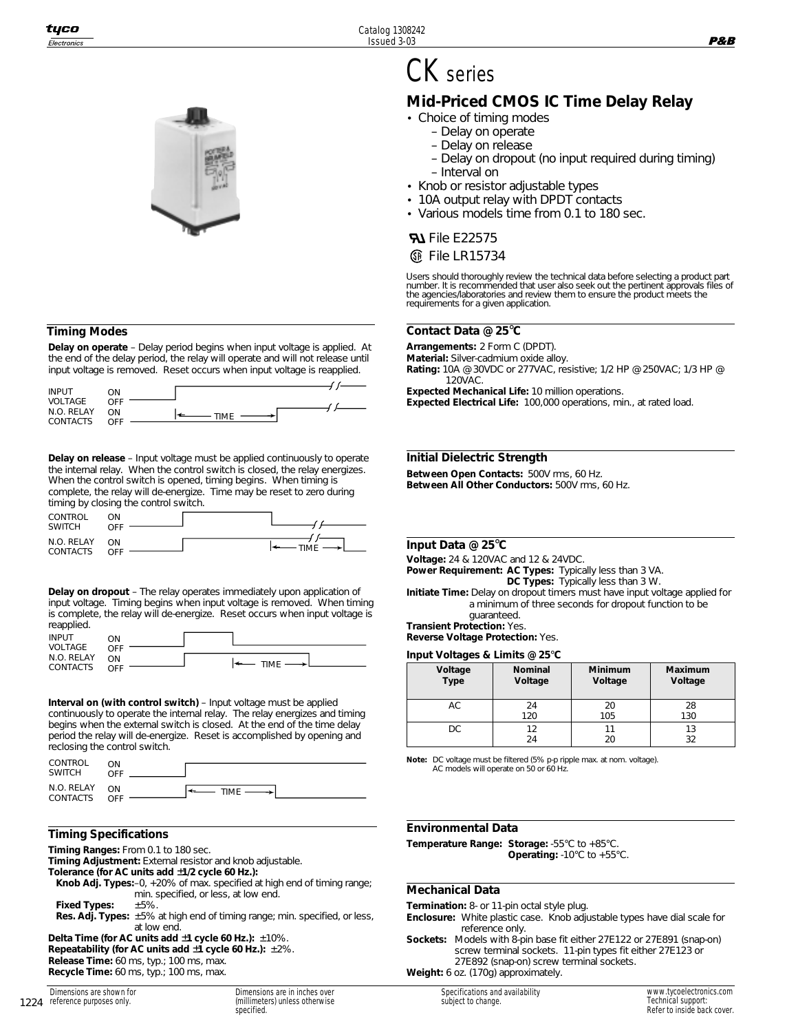#### **Timing Modes**

**Delay on operate** – Delay period begins when input voltage is applied. At the end of the delay period, the relay will operate and will not release until input voltage is removed. Reset occurs when input voltage is reapplied.

| <b>INPUT</b>    | ЮC                |  |
|-----------------|-------------------|--|
| VOLTAGE         | <b>OFF</b>        |  |
| N.O. RELAY      | ΩN<br><b>TIME</b> |  |
| <b>CONTACTS</b> | OFF               |  |

**Delay on release** – Input voltage must be applied continuously to operate the internal relay. When the control switch is closed, the relay energizes. When the control switch is opened, timing begins. When timing is complete, the relay will de-energize. Time may be reset to zero during timing by closing the control switch.

| CONTROL<br><b>SWITCH</b>      | λN<br>OFF |           |
|-------------------------------|-----------|-----------|
| N.O. RELAY<br><b>CONTACTS</b> | ON<br>OFF | $-TIME -$ |

**Delay on dropout** – The relay operates immediately upon application of input voltage. Timing begins when input voltage is removed. When timing is complete, the relay will de-energize. Reset occurs when input voltage is reapplied.

| <b>INPUT</b>           | ΟN        |                   |
|------------------------|-----------|-------------------|
| VOLTAGE                | OFF       |                   |
| N.O. RELAY<br>CONTACTS | ON<br>OFF | $\leftarrow$ TIME |

**Interval on (with control switch)** – Input voltage must be applied continuously to operate the internal relay. The relay energizes and timing begins when the external switch is closed. At the end of the time delay period the relay will de-energize. Reset is accomplished by opening and reclosing the control switch.

| CONTROL<br><b>SWITCH</b> | ٦N<br>OEE |          |
|--------------------------|-----------|----------|
| N.O. RELAY<br>CONTACTS   | ON<br>OFF | $TIME$ — |

#### **Timing Specifications**

**Timing Ranges:** From 0.1 to 180 sec.

**Timing Adjustment:** External resistor and knob adjustable.

- **Tolerance (for AC units add** ±**1/2 cycle 60 Hz.):**
- **Knob Adj. Types:**–0, +20% of max. specified at high end of timing range; min. specified, or less, at low end. **Fixed Types:** ±5%.
- **Res. Adj. Types:** ±5% at high end of timing range; min. specified, or less, at low end.

**Delta Time (for AC units add** ±**1 cycle 60 Hz.):** ±10%. **Repeatability (for AC units add** ±**1 cycle 60 Hz.):** ±2%. **Release Time:** 60 ms, typ.; 100 ms, max. **Recycle Time:** 60 ms, typ.; 100 ms, max.

Dimensions are in inches over (millimeters) unless otherwise specified.

# CK series

## **Mid-Priced CMOS IC Time Delay Relay**

- Choice of timing modes
	- Delay on operate
	- Delay on release
	- Delay on dropout (no input required during timing) – Interval on
- Knob or resistor adjustable types
- 10A output relay with DPDT contacts
- Various models time from 0.1 to 180 sec.

### **File E22575**

#### **<sup>46</sup>** File LR15734

Users should thoroughly review the technical data before selecting a product part number. It is recommended that user also seek out the pertinent approvals files of the agencies/laboratories and review them to ensure the product meets the requirements for a given application.

#### **Contact Data @ 25**°**C**

**Arrangements:** 2 Form C (DPDT).

**Material:** Silver-cadmium oxide alloy.

**Rating:** 10A @ 30VDC or 277VAC, resistive; 1/2 HP @ 250VAC; 1/3 HP @ 120VAC.

**Expected Mechanical Life:** 10 million operations.

**Expected Electrical Life:** 100,000 operations, min., at rated load.

#### **Initial Dielectric Strength**

**Between Open Contacts:** 500V rms, 60 Hz. **Between All Other Conductors:** 500V rms, 60 Hz.

#### **Input Data @ 25**°**C**

**Voltage:** 24 & 120VAC and 12 & 24VDC.

**Power Requirement: AC Types:** Typically less than 3 VA. **DC Types:** Typically less than 3 W.

**Initiate Time:** Delay on dropout timers must have input voltage applied for a minimum of three seconds for dropout function to be guaranteed.

**Transient Protection:** Yes.

**Reverse Voltage Protection:** Yes.

#### **Input Voltages & Limits @ 25**°**C**

| Voltage<br>Type | <b>Nominal</b> | <b>Minimum</b> | Maximum |
|-----------------|----------------|----------------|---------|
|                 | Voltage        | Voltage        | Voltage |
| AC              | 24             | 20             | 28      |
|                 | 120            | 105            | 130     |
|                 |                |                |         |
| DC.             | 12             | 11             | 13      |
|                 | 24             | 20             | 32      |

**Note:** DC voltage must be filtered (5% p-p ripple max. at nom. voltage). AC models will operate on 50 or 60 Hz.

#### **Environmental Data**

**Temperature Range: Storage:** -55°C to +85°C. **Operating:** -10°C to +55°C.

#### **Mechanical Data**

**Termination:** 8- or 11-pin octal style plug.

- **Enclosure:** White plastic case. Knob adjustable types have dial scale for reference only.
- **Sockets:** Models with 8-pin base fit either 27E122 or 27E891 (snap-on) screw terminal sockets. 11-pin types fit either 27E123 or 27E892 (snap-on) screw terminal sockets. **Weight:** 6 oz. (170g) approximately.

Specifications and availability subject to change.